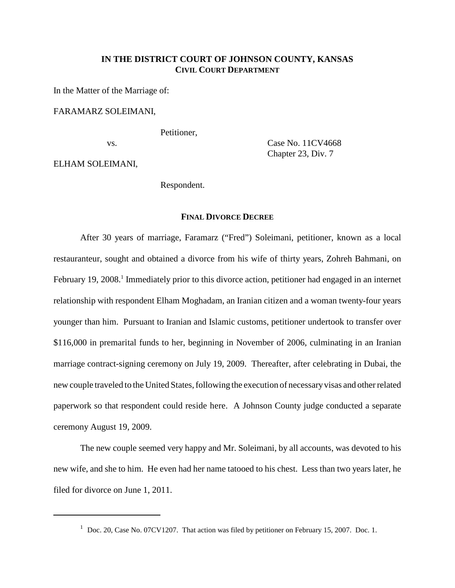# **IN THE DISTRICT COURT OF JOHNSON COUNTY, KANSAS CIVIL COURT DEPARTMENT**

In the Matter of the Marriage of:

# FARAMARZ SOLEIMANI,

Petitioner,

vs. Case No. 11CV4668 Chapter 23, Div. 7

ELHAM SOLEIMANI,

Respondent.

# **FINAL DIVORCE DECREE**

After 30 years of marriage, Faramarz ("Fred") Soleimani, petitioner, known as a local restauranteur, sought and obtained a divorce from his wife of thirty years, Zohreh Bahmani, on February 19, 2008.<sup>1</sup> Immediately prior to this divorce action, petitioner had engaged in an internet relationship with respondent Elham Moghadam, an Iranian citizen and a woman twenty-four years younger than him. Pursuant to Iranian and Islamic customs, petitioner undertook to transfer over \$116,000 in premarital funds to her, beginning in November of 2006, culminating in an Iranian marriage contract-signing ceremony on July 19, 2009. Thereafter, after celebrating in Dubai, the new couple traveled to the United States, following the execution of necessary visas and other related paperwork so that respondent could reside here. A Johnson County judge conducted a separate ceremony August 19, 2009.

The new couple seemed very happy and Mr. Soleimani, by all accounts, was devoted to his new wife, and she to him. He even had her name tatooed to his chest. Less than two years later, he filed for divorce on June 1, 2011.

<sup>&</sup>lt;sup>1</sup> Doc. 20, Case No. 07CV1207. That action was filed by petitioner on February 15, 2007. Doc. 1.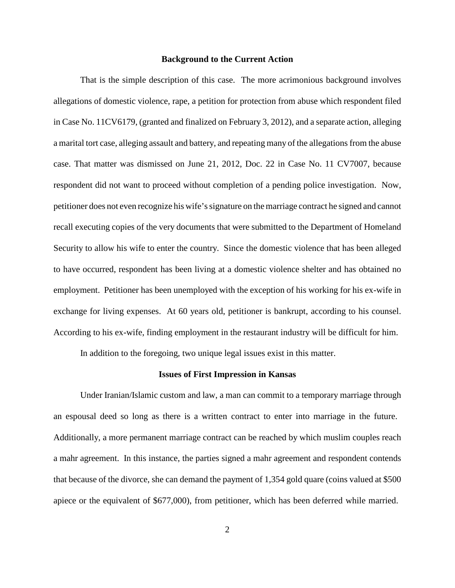#### **Background to the Current Action**

That is the simple description of this case. The more acrimonious background involves allegations of domestic violence, rape, a petition for protection from abuse which respondent filed in Case No. 11CV6179, (granted and finalized on February 3, 2012), and a separate action, alleging a marital tort case, alleging assault and battery, and repeating many of the allegations from the abuse case. That matter was dismissed on June 21, 2012, Doc. 22 in Case No. 11 CV7007, because respondent did not want to proceed without completion of a pending police investigation. Now, petitioner does not even recognize his wife's signature on the marriage contract he signed and cannot recall executing copies of the very documents that were submitted to the Department of Homeland Security to allow his wife to enter the country. Since the domestic violence that has been alleged to have occurred, respondent has been living at a domestic violence shelter and has obtained no employment. Petitioner has been unemployed with the exception of his working for his ex-wife in exchange for living expenses. At 60 years old, petitioner is bankrupt, according to his counsel. According to his ex-wife, finding employment in the restaurant industry will be difficult for him.

In addition to the foregoing, two unique legal issues exist in this matter.

#### **Issues of First Impression in Kansas**

Under Iranian/Islamic custom and law, a man can commit to a temporary marriage through an espousal deed so long as there is a written contract to enter into marriage in the future. Additionally, a more permanent marriage contract can be reached by which muslim couples reach a mahr agreement. In this instance, the parties signed a mahr agreement and respondent contends that because of the divorce, she can demand the payment of 1,354 gold quare (coins valued at \$500 apiece or the equivalent of \$677,000), from petitioner, which has been deferred while married.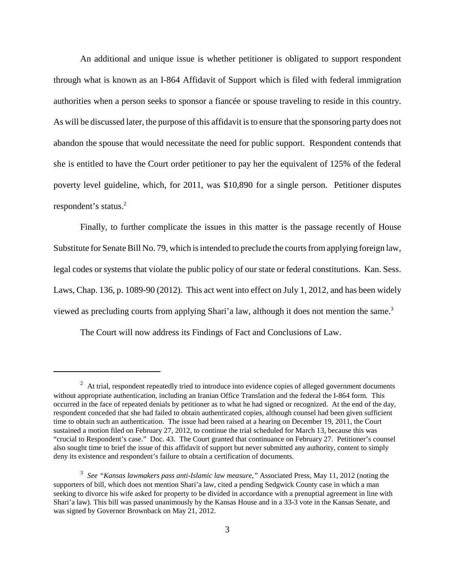An additional and unique issue is whether petitioner is obligated to support respondent through what is known as an I-864 Affidavit of Support which is filed with federal immigration authorities when a person seeks to sponsor a fiancée or spouse traveling to reside in this country. As will be discussed later, the purpose of this affidavit is to ensure that the sponsoring party does not abandon the spouse that would necessitate the need for public support. Respondent contends that she is entitled to have the Court order petitioner to pay her the equivalent of 125% of the federal poverty level guideline, which, for 2011, was \$10,890 for a single person. Petitioner disputes respondent's status.<sup>2</sup>

Finally, to further complicate the issues in this matter is the passage recently of House Substitute for Senate Bill No. 79, which is intended to preclude the courts from applying foreign law, legal codes or systems that violate the public policy of our state or federal constitutions. Kan. Sess. Laws, Chap. 136, p. 1089-90 (2012). This act went into effect on July 1, 2012, and has been widely viewed as precluding courts from applying Shari'a law, although it does not mention the same.<sup>3</sup>

The Court will now address its Findings of Fact and Conclusions of Law.

 $2$  At trial, respondent repeatedly tried to introduce into evidence copies of alleged government documents without appropriate authentication, including an Iranian Office Translation and the federal the I-864 form. This occurred in the face of repeated denials by petitioner as to what he had signed or recognized. At the end of the day, respondent conceded that she had failed to obtain authenticated copies, although counsel had been given sufficient time to obtain such an authentication. The issue had been raised at a hearing on December 19, 2011, the Court sustained a motion filed on February 27, 2012, to continue the trial scheduled for March 13, because this was "crucial to Respondent's case." Doc. 43. The Court granted that continuance on February 27. Petitioner's counsel also sought time to brief the issue of this affidavit of support but never submitted any authority, content to simply deny its existence and respondent's failure to obtain a certification of documents.

<sup>3</sup> *See "Kansas lawmakers pass anti-Islamic law measure,"* Associated Press, May 11, 2012 (noting the supporters of bill, which does not mention Shari'a law, cited a pending Sedgwick County case in which a man seeking to divorce his wife asked for property to be divided in accordance with a prenuptial agreement in line with Shari'a law). This bill was passed unanimously by the Kansas House and in a 33-3 vote in the Kansas Senate, and was signed by Governor Brownback on May 21, 2012.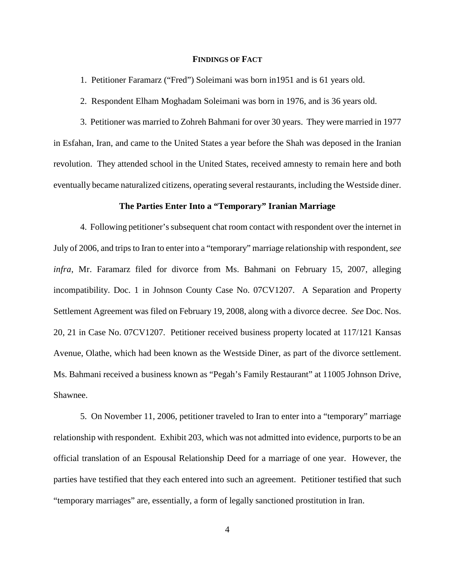## **FINDINGS OF FACT**

1. Petitioner Faramarz ("Fred") Soleimani was born in1951 and is 61 years old.

2. Respondent Elham Moghadam Soleimani was born in 1976, and is 36 years old.

3. Petitioner was married to Zohreh Bahmani for over 30 years. They were married in 1977 in Esfahan, Iran, and came to the United States a year before the Shah was deposed in the Iranian revolution. They attended school in the United States, received amnesty to remain here and both eventually became naturalized citizens, operating several restaurants, including the Westside diner.

### **The Parties Enter Into a "Temporary" Iranian Marriage**

4. Following petitioner's subsequent chat room contact with respondent over the internet in July of 2006, and trips to Iran to enter into a "temporary" marriage relationship with respondent, *see infra*, Mr. Faramarz filed for divorce from Ms. Bahmani on February 15, 2007, alleging incompatibility. Doc. 1 in Johnson County Case No. 07CV1207. A Separation and Property Settlement Agreement was filed on February 19, 2008, along with a divorce decree. *See* Doc. Nos. 20, 21 in Case No. 07CV1207. Petitioner received business property located at 117/121 Kansas Avenue, Olathe, which had been known as the Westside Diner, as part of the divorce settlement. Ms. Bahmani received a business known as "Pegah's Family Restaurant" at 11005 Johnson Drive, Shawnee.

5. On November 11, 2006, petitioner traveled to Iran to enter into a "temporary" marriage relationship with respondent. Exhibit 203, which was not admitted into evidence, purports to be an official translation of an Espousal Relationship Deed for a marriage of one year. However, the parties have testified that they each entered into such an agreement. Petitioner testified that such "temporary marriages" are, essentially, a form of legally sanctioned prostitution in Iran.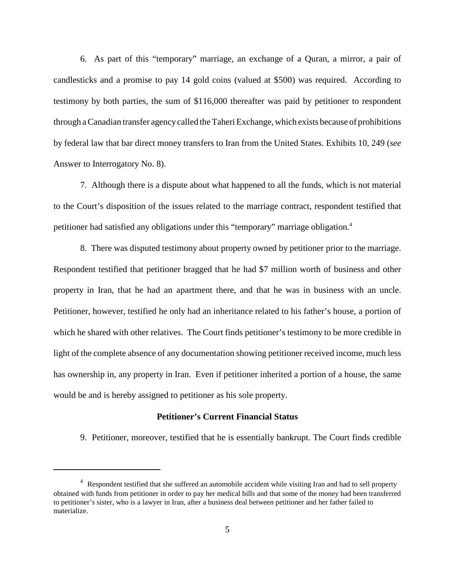6. As part of this "temporary" marriage, an exchange of a Quran, a mirror, a pair of candlesticks and a promise to pay 14 gold coins (valued at \$500) was required. According to testimony by both parties, the sum of \$116,000 thereafter was paid by petitioner to respondent through a Canadian transfer agency called the Taheri Exchange, which exists because of prohibitions by federal law that bar direct money transfers to Iran from the United States. Exhibits 10, 249 (*see* Answer to Interrogatory No. 8).

7. Although there is a dispute about what happened to all the funds, which is not material to the Court's disposition of the issues related to the marriage contract, respondent testified that petitioner had satisfied any obligations under this "temporary" marriage obligation.<sup>4</sup>

8. There was disputed testimony about property owned by petitioner prior to the marriage. Respondent testified that petitioner bragged that he had \$7 million worth of business and other property in Iran, that he had an apartment there, and that he was in business with an uncle. Petitioner, however, testified he only had an inheritance related to his father's house, a portion of which he shared with other relatives. The Court finds petitioner's testimony to be more credible in light of the complete absence of any documentation showing petitioner received income, much less has ownership in, any property in Iran. Even if petitioner inherited a portion of a house, the same would be and is hereby assigned to petitioner as his sole property.

# **Petitioner's Current Financial Status**

9. Petitioner, moreover, testified that he is essentially bankrupt. The Court finds credible

<sup>&</sup>lt;sup>4</sup> Respondent testified that she suffered an automobile accident while visiting Iran and had to sell property obtained with funds from petitioner in order to pay her medical bills and that some of the money had been transferred to petitioner's sister, who is a lawyer in Iran, after a business deal between petitioner and her father failed to materialize.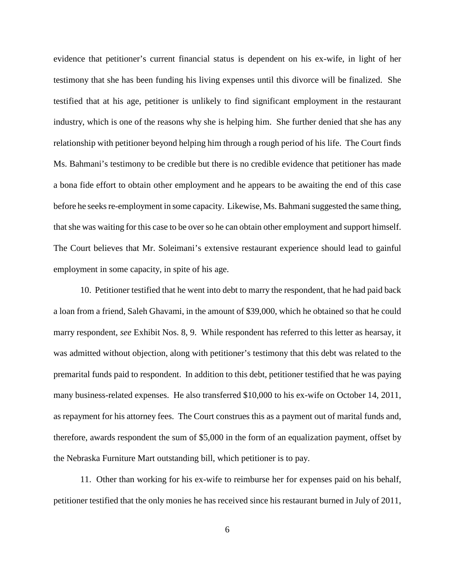evidence that petitioner's current financial status is dependent on his ex-wife, in light of her testimony that she has been funding his living expenses until this divorce will be finalized. She testified that at his age, petitioner is unlikely to find significant employment in the restaurant industry, which is one of the reasons why she is helping him. She further denied that she has any relationship with petitioner beyond helping him through a rough period of his life. The Court finds Ms. Bahmani's testimony to be credible but there is no credible evidence that petitioner has made a bona fide effort to obtain other employment and he appears to be awaiting the end of this case before he seeks re-employment in some capacity. Likewise, Ms. Bahmani suggested the same thing, that she was waiting for this case to be over so he can obtain other employment and support himself. The Court believes that Mr. Soleimani's extensive restaurant experience should lead to gainful employment in some capacity, in spite of his age.

10. Petitioner testified that he went into debt to marry the respondent, that he had paid back a loan from a friend, Saleh Ghavami, in the amount of \$39,000, which he obtained so that he could marry respondent, *see* Exhibit Nos. 8, 9. While respondent has referred to this letter as hearsay, it was admitted without objection, along with petitioner's testimony that this debt was related to the premarital funds paid to respondent. In addition to this debt, petitioner testified that he was paying many business-related expenses. He also transferred \$10,000 to his ex-wife on October 14, 2011, as repayment for his attorney fees. The Court construes this as a payment out of marital funds and, therefore, awards respondent the sum of \$5,000 in the form of an equalization payment, offset by the Nebraska Furniture Mart outstanding bill, which petitioner is to pay.

11. Other than working for his ex-wife to reimburse her for expenses paid on his behalf, petitioner testified that the only monies he has received since his restaurant burned in July of 2011,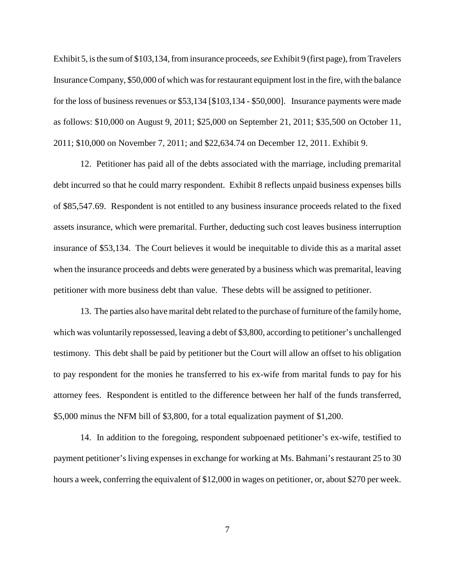Exhibit 5, is the sum of \$103,134, from insurance proceeds, *see* Exhibit 9 (first page), from Travelers Insurance Company, \$50,000 of which was for restaurant equipment lost in the fire, with the balance for the loss of business revenues or \$53,134 [\$103,134 - \$50,000]. Insurance payments were made as follows: \$10,000 on August 9, 2011; \$25,000 on September 21, 2011; \$35,500 on October 11, 2011; \$10,000 on November 7, 2011; and \$22,634.74 on December 12, 2011. Exhibit 9.

12. Petitioner has paid all of the debts associated with the marriage, including premarital debt incurred so that he could marry respondent. Exhibit 8 reflects unpaid business expenses bills of \$85,547.69. Respondent is not entitled to any business insurance proceeds related to the fixed assets insurance, which were premarital. Further, deducting such cost leaves business interruption insurance of \$53,134. The Court believes it would be inequitable to divide this as a marital asset when the insurance proceeds and debts were generated by a business which was premarital, leaving petitioner with more business debt than value. These debts will be assigned to petitioner.

13. The parties also have marital debt related to the purchase of furniture of the family home, which was voluntarily repossessed, leaving a debt of \$3,800, according to petitioner's unchallenged testimony. This debt shall be paid by petitioner but the Court will allow an offset to his obligation to pay respondent for the monies he transferred to his ex-wife from marital funds to pay for his attorney fees. Respondent is entitled to the difference between her half of the funds transferred, \$5,000 minus the NFM bill of \$3,800, for a total equalization payment of \$1,200.

14. In addition to the foregoing, respondent subpoenaed petitioner's ex-wife, testified to payment petitioner's living expenses in exchange for working at Ms. Bahmani's restaurant 25 to 30 hours a week, conferring the equivalent of \$12,000 in wages on petitioner, or, about \$270 per week.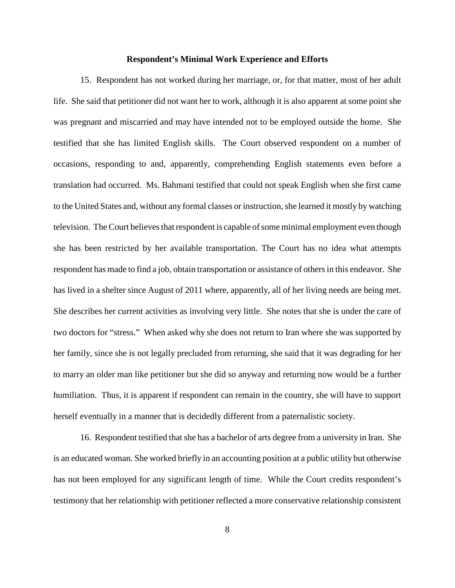#### **Respondent's Minimal Work Experience and Efforts**

15. Respondent has not worked during her marriage, or, for that matter, most of her adult life. She said that petitioner did not want her to work, although it is also apparent at some point she was pregnant and miscarried and may have intended not to be employed outside the home. She testified that she has limited English skills. The Court observed respondent on a number of occasions, responding to and, apparently, comprehending English statements even before a translation had occurred. Ms. Bahmani testified that could not speak English when she first came to the United States and, without any formal classes or instruction, she learned it mostly by watching television. The Court believes that respondent is capable of some minimal employment even though she has been restricted by her available transportation. The Court has no idea what attempts respondent has made to find a job, obtain transportation or assistance of others in this endeavor. She has lived in a shelter since August of 2011 where, apparently, all of her living needs are being met. She describes her current activities as involving very little. She notes that she is under the care of two doctors for "stress." When asked why she does not return to Iran where she was supported by her family, since she is not legally precluded from returning, she said that it was degrading for her to marry an older man like petitioner but she did so anyway and returning now would be a further humiliation. Thus, it is apparent if respondent can remain in the country, she will have to support herself eventually in a manner that is decidedly different from a paternalistic society.

16. Respondent testified that she has a bachelor of arts degree from a university in Iran. She is an educated woman. She worked briefly in an accounting position at a public utility but otherwise has not been employed for any significant length of time. While the Court credits respondent's testimony that her relationship with petitioner reflected a more conservative relationship consistent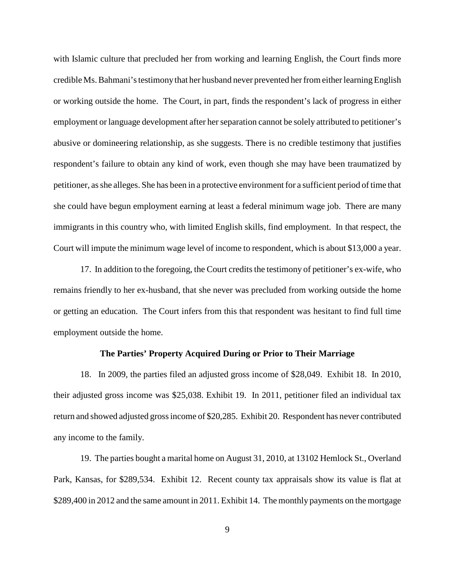with Islamic culture that precluded her from working and learning English, the Court finds more credible Ms. Bahmani's testimony that her husband never prevented her from either learning English or working outside the home. The Court, in part, finds the respondent's lack of progress in either employment or language development after her separation cannot be solely attributed to petitioner's abusive or domineering relationship, as she suggests. There is no credible testimony that justifies respondent's failure to obtain any kind of work, even though she may have been traumatized by petitioner, as she alleges. She has been in a protective environment for a sufficient period of time that she could have begun employment earning at least a federal minimum wage job. There are many immigrants in this country who, with limited English skills, find employment. In that respect, the Court will impute the minimum wage level of income to respondent, which is about \$13,000 a year.

17. In addition to the foregoing, the Court credits the testimony of petitioner's ex-wife, who remains friendly to her ex-husband, that she never was precluded from working outside the home or getting an education. The Court infers from this that respondent was hesitant to find full time employment outside the home.

## **The Parties' Property Acquired During or Prior to Their Marriage**

18. In 2009, the parties filed an adjusted gross income of \$28,049. Exhibit 18. In 2010, their adjusted gross income was \$25,038. Exhibit 19. In 2011, petitioner filed an individual tax return and showed adjusted gross income of \$20,285. Exhibit 20. Respondent has never contributed any income to the family.

19. The parties bought a marital home on August 31, 2010, at 13102 Hemlock St., Overland Park, Kansas, for \$289,534. Exhibit 12. Recent county tax appraisals show its value is flat at \$289,400 in 2012 and the same amount in 2011. Exhibit 14. The monthly payments on the mortgage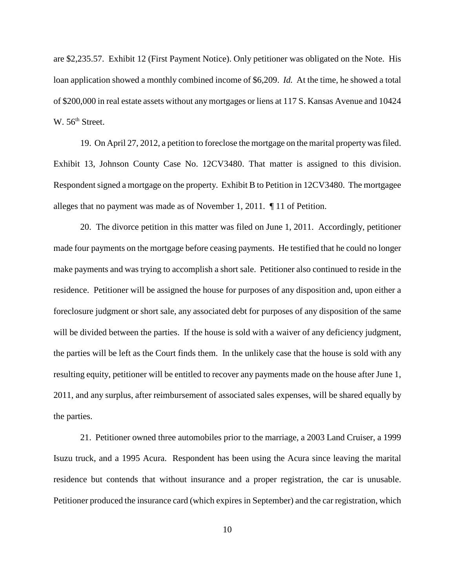are \$2,235.57. Exhibit 12 (First Payment Notice). Only petitioner was obligated on the Note. His loan application showed a monthly combined income of \$6,209. *Id.* At the time, he showed a total of \$200,000 in real estate assets without any mortgages or liens at 117 S. Kansas Avenue and 10424  $W. 56<sup>th</sup> Street.$ 

19. On April 27, 2012, a petition to foreclose the mortgage on the marital property was filed. Exhibit 13, Johnson County Case No. 12CV3480. That matter is assigned to this division. Respondent signed a mortgage on the property. Exhibit B to Petition in 12CV3480. The mortgagee alleges that no payment was made as of November 1, 2011. ¶ 11 of Petition.

20. The divorce petition in this matter was filed on June 1, 2011. Accordingly, petitioner made four payments on the mortgage before ceasing payments. He testified that he could no longer make payments and was trying to accomplish a short sale. Petitioner also continued to reside in the residence. Petitioner will be assigned the house for purposes of any disposition and, upon either a foreclosure judgment or short sale, any associated debt for purposes of any disposition of the same will be divided between the parties. If the house is sold with a waiver of any deficiency judgment, the parties will be left as the Court finds them. In the unlikely case that the house is sold with any resulting equity, petitioner will be entitled to recover any payments made on the house after June 1, 2011, and any surplus, after reimbursement of associated sales expenses, will be shared equally by the parties.

21. Petitioner owned three automobiles prior to the marriage, a 2003 Land Cruiser, a 1999 Isuzu truck, and a 1995 Acura. Respondent has been using the Acura since leaving the marital residence but contends that without insurance and a proper registration, the car is unusable. Petitioner produced the insurance card (which expires in September) and the car registration, which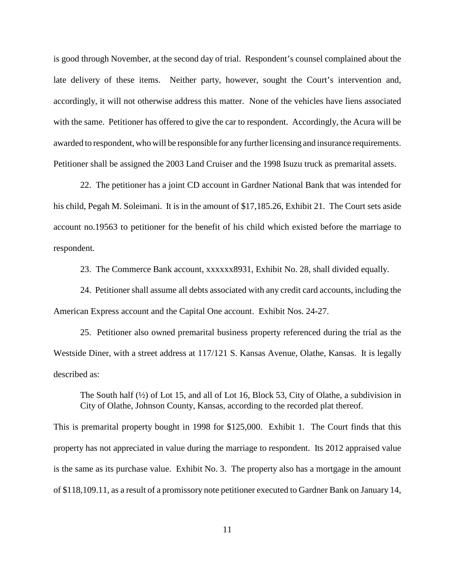is good through November, at the second day of trial. Respondent's counsel complained about the late delivery of these items. Neither party, however, sought the Court's intervention and, accordingly, it will not otherwise address this matter. None of the vehicles have liens associated with the same. Petitioner has offered to give the car to respondent. Accordingly, the Acura will be awarded to respondent, who will be responsible for any further licensing and insurance requirements. Petitioner shall be assigned the 2003 Land Cruiser and the 1998 Isuzu truck as premarital assets.

22. The petitioner has a joint CD account in Gardner National Bank that was intended for his child, Pegah M. Soleimani. It is in the amount of \$17,185.26, Exhibit 21. The Court sets aside account no.19563 to petitioner for the benefit of his child which existed before the marriage to respondent.

23. The Commerce Bank account, xxxxxx8931, Exhibit No. 28, shall divided equally.

24. Petitioner shall assume all debts associated with any credit card accounts, including the American Express account and the Capital One account. Exhibit Nos. 24-27.

25. Petitioner also owned premarital business property referenced during the trial as the Westside Diner, with a street address at 117/121 S. Kansas Avenue, Olathe, Kansas. It is legally described as:

The South half  $(\frac{1}{2})$  of Lot 15, and all of Lot 16, Block 53, City of Olathe, a subdivision in City of Olathe, Johnson County, Kansas, according to the recorded plat thereof.

This is premarital property bought in 1998 for \$125,000. Exhibit 1. The Court finds that this property has not appreciated in value during the marriage to respondent. Its 2012 appraised value is the same as its purchase value. Exhibit No. 3. The property also has a mortgage in the amount of \$118,109.11, as a result of a promissory note petitioner executed to Gardner Bank on January 14,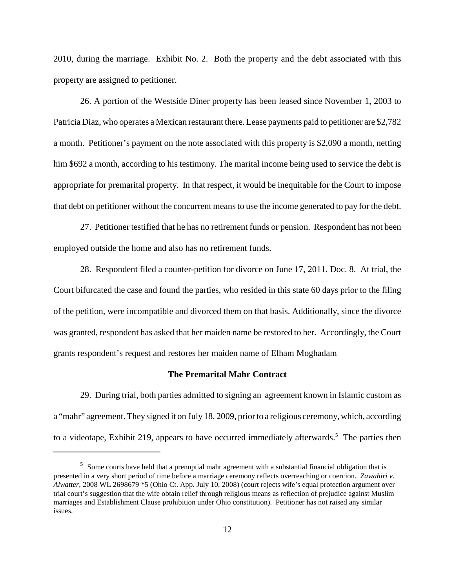2010, during the marriage. Exhibit No. 2. Both the property and the debt associated with this property are assigned to petitioner.

26. A portion of the Westside Diner property has been leased since November 1, 2003 to Patricia Diaz, who operates a Mexican restaurant there. Lease payments paid to petitioner are \$2,782 a month. Petitioner's payment on the note associated with this property is \$2,090 a month, netting him \$692 a month, according to his testimony. The marital income being used to service the debt is appropriate for premarital property. In that respect, it would be inequitable for the Court to impose that debt on petitioner without the concurrent means to use the income generated to pay for the debt.

27. Petitioner testified that he has no retirement funds or pension. Respondent has not been employed outside the home and also has no retirement funds.

28. Respondent filed a counter-petition for divorce on June 17, 2011. Doc. 8. At trial, the Court bifurcated the case and found the parties, who resided in this state 60 days prior to the filing of the petition, were incompatible and divorced them on that basis. Additionally, since the divorce was granted, respondent has asked that her maiden name be restored to her. Accordingly, the Court grants respondent's request and restores her maiden name of Elham Moghadam

### **The Premarital Mahr Contract**

29. During trial, both parties admitted to signing an agreement known in Islamic custom as a "mahr" agreement. They signed it on July 18, 2009, prior to a religious ceremony, which, according to a videotape, Exhibit 219, appears to have occurred immediately afterwards.<sup>5</sup> The parties then

<sup>&</sup>lt;sup>5</sup> Some courts have held that a prenuptial mahr agreement with a substantial financial obligation that is presented in a very short period of time before a marriage ceremony reflects overreaching or coercion. *Zawahiri v. Alwatter*, 2008 WL 2698679 \*5 (Ohio Ct. App. July 10, 2008) (court rejects wife's equal protection argument over trial court's suggestion that the wife obtain relief through religious means as reflection of prejudice against Muslim marriages and Establishment Clause prohibition under Ohio constitution). Petitioner has not raised any similar issues.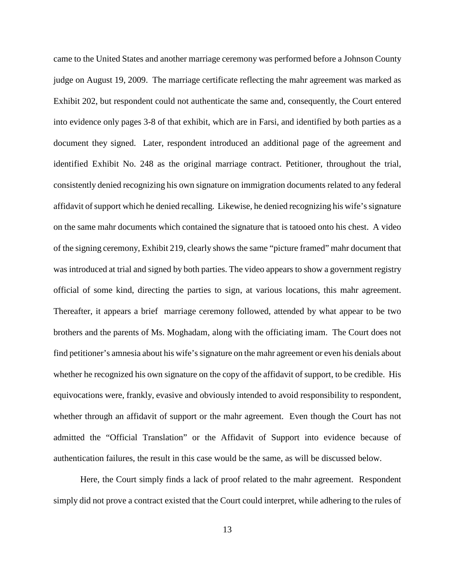came to the United States and another marriage ceremony was performed before a Johnson County judge on August 19, 2009. The marriage certificate reflecting the mahr agreement was marked as Exhibit 202, but respondent could not authenticate the same and, consequently, the Court entered into evidence only pages 3-8 of that exhibit, which are in Farsi, and identified by both parties as a document they signed. Later, respondent introduced an additional page of the agreement and identified Exhibit No. 248 as the original marriage contract. Petitioner, throughout the trial, consistently denied recognizing his own signature on immigration documents related to any federal affidavit of support which he denied recalling. Likewise, he denied recognizing his wife's signature on the same mahr documents which contained the signature that is tatooed onto his chest. A video of the signing ceremony, Exhibit 219, clearly shows the same "picture framed" mahr document that was introduced at trial and signed by both parties. The video appears to show a government registry official of some kind, directing the parties to sign, at various locations, this mahr agreement. Thereafter, it appears a brief marriage ceremony followed, attended by what appear to be two brothers and the parents of Ms. Moghadam, along with the officiating imam. The Court does not find petitioner's amnesia about his wife's signature on the mahr agreement or even his denials about whether he recognized his own signature on the copy of the affidavit of support, to be credible. His equivocations were, frankly, evasive and obviously intended to avoid responsibility to respondent, whether through an affidavit of support or the mahr agreement. Even though the Court has not admitted the "Official Translation" or the Affidavit of Support into evidence because of authentication failures, the result in this case would be the same, as will be discussed below.

Here, the Court simply finds a lack of proof related to the mahr agreement. Respondent simply did not prove a contract existed that the Court could interpret, while adhering to the rules of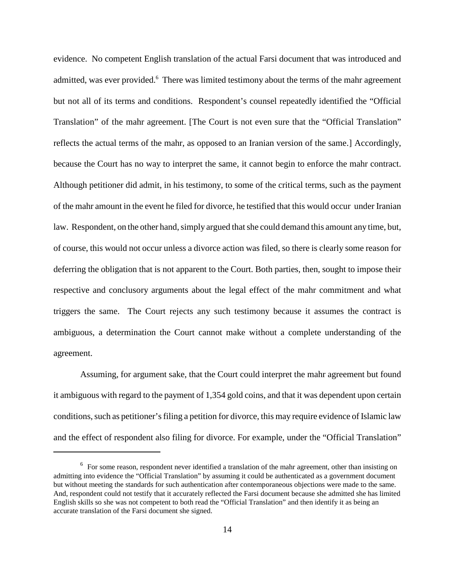evidence. No competent English translation of the actual Farsi document that was introduced and admitted, was ever provided.<sup>6</sup> There was limited testimony about the terms of the mahr agreement but not all of its terms and conditions. Respondent's counsel repeatedly identified the "Official Translation" of the mahr agreement. [The Court is not even sure that the "Official Translation" reflects the actual terms of the mahr, as opposed to an Iranian version of the same.] Accordingly, because the Court has no way to interpret the same, it cannot begin to enforce the mahr contract. Although petitioner did admit, in his testimony, to some of the critical terms, such as the payment of the mahr amount in the event he filed for divorce, he testified that this would occur under Iranian law. Respondent, on the other hand, simply argued that she could demand this amount any time, but, of course, this would not occur unless a divorce action was filed, so there is clearly some reason for deferring the obligation that is not apparent to the Court. Both parties, then, sought to impose their respective and conclusory arguments about the legal effect of the mahr commitment and what triggers the same. The Court rejects any such testimony because it assumes the contract is ambiguous, a determination the Court cannot make without a complete understanding of the agreement.

Assuming, for argument sake, that the Court could interpret the mahr agreement but found it ambiguous with regard to the payment of 1,354 gold coins, and that it was dependent upon certain conditions, such as petitioner's filing a petition for divorce, this may require evidence of Islamic law and the effect of respondent also filing for divorce. For example, under the "Official Translation"

<sup>&</sup>lt;sup>6</sup> For some reason, respondent never identified a translation of the mahr agreement, other than insisting on admitting into evidence the "Official Translation" by assuming it could be authenticated as a government document but without meeting the standards for such authentication after contemporaneous objections were made to the same. And, respondent could not testify that it accurately reflected the Farsi document because she admitted she has limited English skills so she was not competent to both read the "Official Translation" and then identify it as being an accurate translation of the Farsi document she signed.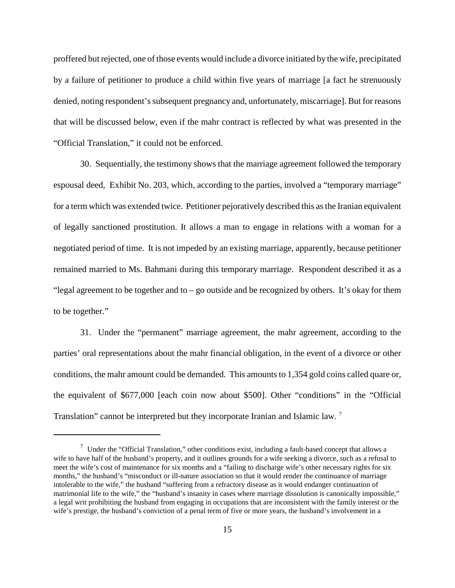proffered but rejected, one of those events would include a divorce initiated by the wife, precipitated by a failure of petitioner to produce a child within five years of marriage [a fact he strenuously denied, noting respondent's subsequent pregnancy and, unfortunately, miscarriage]. But for reasons that will be discussed below, even if the mahr contract is reflected by what was presented in the "Official Translation," it could not be enforced.

30. Sequentially, the testimony shows that the marriage agreement followed the temporary espousal deed, Exhibit No. 203, which, according to the parties, involved a "temporary marriage" for a term which was extended twice. Petitioner pejoratively described this as the Iranian equivalent of legally sanctioned prostitution. It allows a man to engage in relations with a woman for a negotiated period of time. It is not impeded by an existing marriage, apparently, because petitioner remained married to Ms. Bahmani during this temporary marriage. Respondent described it as a "legal agreement to be together and to – go outside and be recognized by others. It's okay for them to be together."

31. Under the "permanent" marriage agreement, the mahr agreement, according to the parties' oral representations about the mahr financial obligation, in the event of a divorce or other conditions, the mahr amount could be demanded. This amounts to 1,354 gold coins called quare or, the equivalent of \$677,000 [each coin now about \$500]. Other "conditions" in the "Official Translation" cannot be interpreted but they incorporate Iranian and Islamic law.<sup>7</sup>

 $\frac{7}{1}$  Under the "Official Translation," other conditions exist, including a fault-based concept that allows a wife to have half of the husband's property, and it outlines grounds for a wife seeking a divorce, such as a refusal to meet the wife's cost of maintenance for six months and a "failing to discharge wife's other necessary rights for six months," the husband's "misconduct or ill-nature association so that it would render the continuance of marriage intolerable to the wife," the husband "suffering from a refractory disease as it would endanger continuation of matrimonial life to the wife," the "husband's insanity in cases where marriage dissolution is canonically impossible," a legal writ prohibiting the husband from engaging in occupations that are inconsistent with the family interest or the wife's prestige, the husband's conviction of a penal term of five or more years, the husband's involvement in a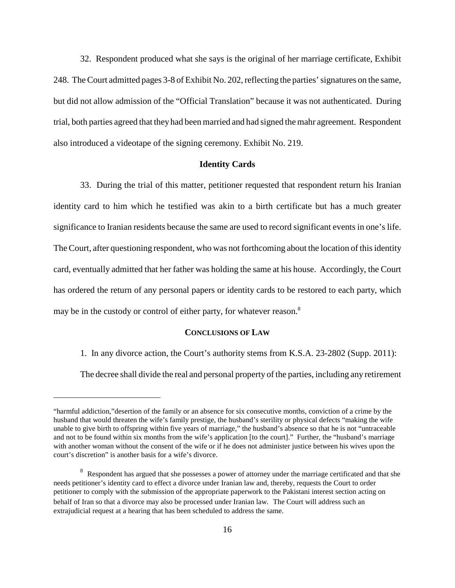32. Respondent produced what she says is the original of her marriage certificate, Exhibit 248. The Court admitted pages 3-8 of Exhibit No. 202, reflecting the parties' signatures on the same, but did not allow admission of the "Official Translation" because it was not authenticated. During trial, both parties agreed that they had been married and had signed the mahr agreement. Respondent also introduced a videotape of the signing ceremony. Exhibit No. 219.

## **Identity Cards**

33. During the trial of this matter, petitioner requested that respondent return his Iranian identity card to him which he testified was akin to a birth certificate but has a much greater significance to Iranian residents because the same are used to record significant events in one's life. The Court, after questioning respondent, who was not forthcoming about the location of this identity card, eventually admitted that her father was holding the same at his house. Accordingly, the Court has ordered the return of any personal papers or identity cards to be restored to each party, which may be in the custody or control of either party, for whatever reason.<sup>8</sup>

## **CONCLUSIONS OF LAW**

1. In any divorce action, the Court's authority stems from K.S.A. 23-2802 (Supp. 2011):

The decree shall divide the real and personal property of the parties, including any retirement

<sup>&</sup>quot;harmful addiction,"desertion of the family or an absence for six consecutive months, conviction of a crime by the husband that would threaten the wife's family prestige, the husband's sterility or physical defects "making the wife unable to give birth to offspring within five years of marriage," the husband's absence so that he is not "untraceable and not to be found within six months from the wife's application [to the court]." Further, the "husband's marriage with another woman without the consent of the wife or if he does not administer justice between his wives upon the court's discretion" is another basis for a wife's divorce.

<sup>&</sup>lt;sup>8</sup> Respondent has argued that she possesses a power of attorney under the marriage certificated and that she needs petitioner's identity card to effect a divorce under Iranian law and, thereby, requests the Court to order petitioner to comply with the submission of the appropriate paperwork to the Pakistani interest section acting on behalf of Iran so that a divorce may also be processed under Iranian law. The Court will address such an extrajudicial request at a hearing that has been scheduled to address the same.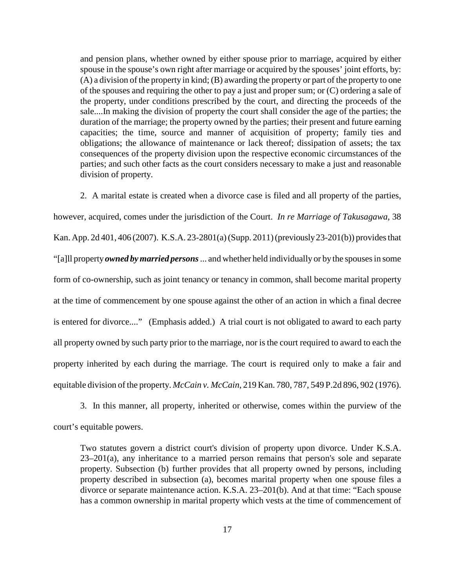and pension plans, whether owned by either spouse prior to marriage, acquired by either spouse in the spouse's own right after marriage or acquired by the spouses' joint efforts, by: (A) a division of the property in kind; (B) awarding the property or part of the property to one of the spouses and requiring the other to pay a just and proper sum; or (C) ordering a sale of the property, under conditions prescribed by the court, and directing the proceeds of the sale....In making the division of property the court shall consider the age of the parties; the duration of the marriage; the property owned by the parties; their present and future earning capacities; the time, source and manner of acquisition of property; family ties and obligations; the allowance of maintenance or lack thereof; dissipation of assets; the tax consequences of the property division upon the respective economic circumstances of the parties; and such other facts as the court considers necessary to make a just and reasonable division of property.

2. A marital estate is created when a divorce case is filed and all property of the parties,

however, acquired, comes under the jurisdiction of the Court. *In re Marriage of Takusagawa*, 38 Kan. App. 2d 401, 406 (2007). K.S.A. 23-2801(a) (Supp. 2011) (previously 23-201(b)) provides that "[a]ll property *owned by married persons* ... and whether held individually or by the spouses in some form of co-ownership, such as joint tenancy or tenancy in common, shall become marital property at the time of commencement by one spouse against the other of an action in which a final decree is entered for divorce...." (Emphasis added.) A trial court is not obligated to award to each party all property owned by such party prior to the marriage, nor is the court required to award to each the property inherited by each during the marriage. The court is required only to make a fair and equitable division of the property. *McCain v. McCain*, 219 Kan. 780, 787, 549 P.2d 896, 902 (1976).

3. In this manner, all property, inherited or otherwise, comes within the purview of the court's equitable powers.

Two statutes govern a district court's division of property upon divorce. Under K.S.A. 23–201(a), any inheritance to a married person remains that person's sole and separate property. Subsection (b) further provides that all property owned by persons, including property described in subsection (a), becomes marital property when one spouse files a divorce or separate maintenance action. K.S.A. 23–201(b). And at that time: "Each spouse has a common ownership in marital property which vests at the time of commencement of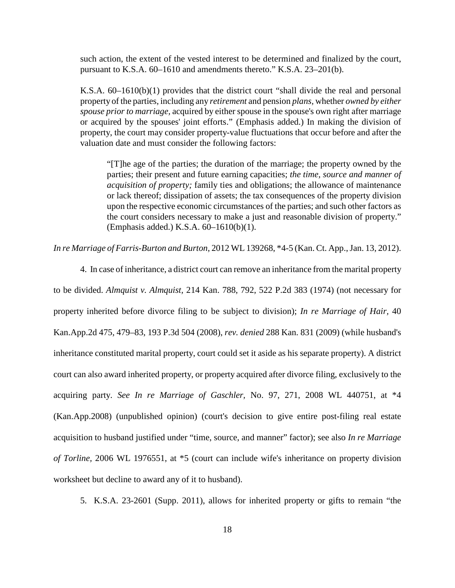such action, the extent of the vested interest to be determined and finalized by the court, pursuant to K.S.A. 60–1610 and amendments thereto." K.S.A. 23–201(b).

K.S.A. 60–1610(b)(1) provides that the district court "shall divide the real and personal property of the parties, including any *retirement* and pension *plans,* whether *owned by either spouse prior to marriage,* acquired by either spouse in the spouse's own right after marriage or acquired by the spouses' joint efforts." (Emphasis added.) In making the division of property, the court may consider property-value fluctuations that occur before and after the valuation date and must consider the following factors:

"[T]he age of the parties; the duration of the marriage; the property owned by the parties; their present and future earning capacities; *the time, source and manner of acquisition of property;* family ties and obligations; the allowance of maintenance or lack thereof; dissipation of assets; the tax consequences of the property division upon the respective economic circumstances of the parties; and such other factors as the court considers necessary to make a just and reasonable division of property." (Emphasis added.) K.S.A. 60–1610(b)(1).

*In re Marriage of Farris-Burton and Burton*, 2012 WL 139268, \*4-5 (Kan. Ct. App., Jan. 13, 2012).

4. In case of inheritance, a district court can remove an inheritance from the marital property to be divided. *Almquist v. Almquist,* 214 Kan. 788, 792, 522 P.2d 383 (1974) (not necessary for property inherited before divorce filing to be subject to division); *In re Marriage of Hair,* 40 Kan.App.2d 475, 479–83, 193 P.3d 504 (2008), *rev. denied* 288 Kan. 831 (2009) (while husband's inheritance constituted marital property, court could set it aside as his separate property). A district court can also award inherited property, or property acquired after divorce filing, exclusively to the acquiring party. *See In re Marriage of Gaschler,* No. 97, 271, 2008 WL 440751, at \*4 (Kan.App.2008) (unpublished opinion) (court's decision to give entire post-filing real estate acquisition to husband justified under "time, source, and manner" factor); see also *In re Marriage of Torline,* 2006 WL 1976551, at \*5 (court can include wife's inheritance on property division worksheet but decline to award any of it to husband).

5. K.S.A. 23-2601 (Supp. 2011), allows for inherited property or gifts to remain "the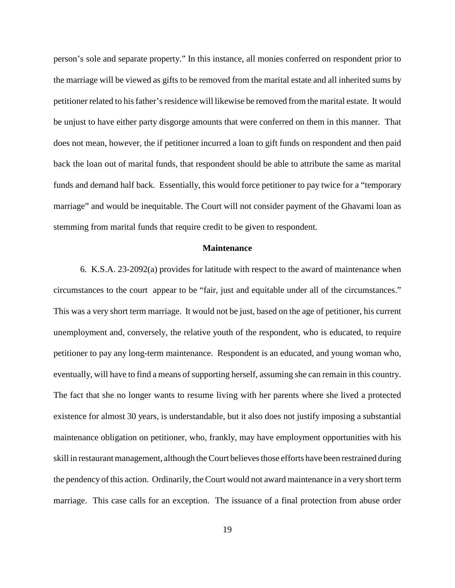person's sole and separate property." In this instance, all monies conferred on respondent prior to the marriage will be viewed as gifts to be removed from the marital estate and all inherited sums by petitioner related to his father's residence will likewise be removed from the marital estate. It would be unjust to have either party disgorge amounts that were conferred on them in this manner. That does not mean, however, the if petitioner incurred a loan to gift funds on respondent and then paid back the loan out of marital funds, that respondent should be able to attribute the same as marital funds and demand half back. Essentially, this would force petitioner to pay twice for a "temporary marriage" and would be inequitable. The Court will not consider payment of the Ghavami loan as stemming from marital funds that require credit to be given to respondent.

### **Maintenance**

6. K.S.A. 23-2092(a) provides for latitude with respect to the award of maintenance when circumstances to the court appear to be "fair, just and equitable under all of the circumstances." This was a very short term marriage. It would not be just, based on the age of petitioner, his current unemployment and, conversely, the relative youth of the respondent, who is educated, to require petitioner to pay any long-term maintenance. Respondent is an educated, and young woman who, eventually, will have to find a means of supporting herself, assuming she can remain in this country. The fact that she no longer wants to resume living with her parents where she lived a protected existence for almost 30 years, is understandable, but it also does not justify imposing a substantial maintenance obligation on petitioner, who, frankly, may have employment opportunities with his skill in restaurant management, although the Court believes those efforts have been restrained during the pendency of this action. Ordinarily, the Court would not award maintenance in a very short term marriage. This case calls for an exception. The issuance of a final protection from abuse order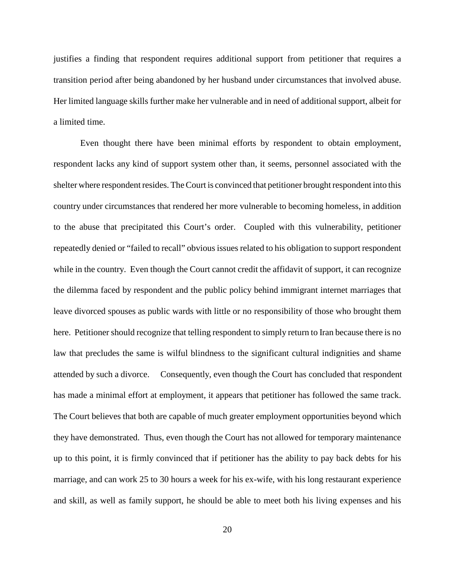justifies a finding that respondent requires additional support from petitioner that requires a transition period after being abandoned by her husband under circumstances that involved abuse. Her limited language skills further make her vulnerable and in need of additional support, albeit for a limited time.

Even thought there have been minimal efforts by respondent to obtain employment, respondent lacks any kind of support system other than, it seems, personnel associated with the shelter where respondent resides. The Court is convinced that petitioner brought respondent into this country under circumstances that rendered her more vulnerable to becoming homeless, in addition to the abuse that precipitated this Court's order. Coupled with this vulnerability, petitioner repeatedly denied or "failed to recall" obvious issues related to his obligation to support respondent while in the country. Even though the Court cannot credit the affidavit of support, it can recognize the dilemma faced by respondent and the public policy behind immigrant internet marriages that leave divorced spouses as public wards with little or no responsibility of those who brought them here. Petitioner should recognize that telling respondent to simply return to Iran because there is no law that precludes the same is wilful blindness to the significant cultural indignities and shame attended by such a divorce. Consequently, even though the Court has concluded that respondent has made a minimal effort at employment, it appears that petitioner has followed the same track. The Court believes that both are capable of much greater employment opportunities beyond which they have demonstrated. Thus, even though the Court has not allowed for temporary maintenance up to this point, it is firmly convinced that if petitioner has the ability to pay back debts for his marriage, and can work 25 to 30 hours a week for his ex-wife, with his long restaurant experience and skill, as well as family support, he should be able to meet both his living expenses and his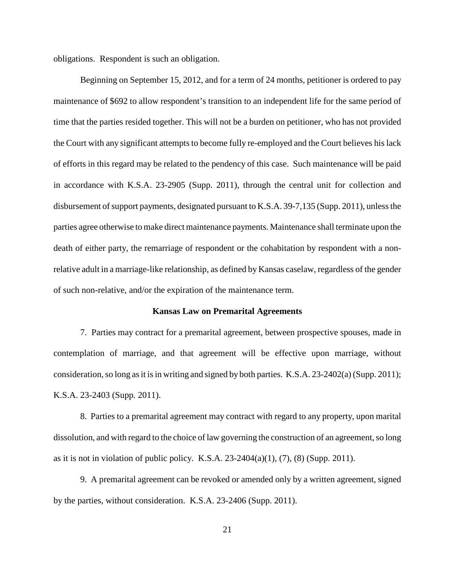obligations. Respondent is such an obligation.

Beginning on September 15, 2012, and for a term of 24 months, petitioner is ordered to pay maintenance of \$692 to allow respondent's transition to an independent life for the same period of time that the parties resided together. This will not be a burden on petitioner, who has not provided the Court with any significant attempts to become fully re-employed and the Court believes his lack of efforts in this regard may be related to the pendency of this case. Such maintenance will be paid in accordance with K.S.A. 23-2905 (Supp. 2011), through the central unit for collection and disbursement of support payments, designated pursuant to K.S.A. 39-7,135 (Supp. 2011), unless the parties agree otherwise to make direct maintenance payments. Maintenance shall terminate upon the death of either party, the remarriage of respondent or the cohabitation by respondent with a nonrelative adult in a marriage-like relationship, as defined by Kansas caselaw, regardless of the gender of such non-relative, and/or the expiration of the maintenance term.

### **Kansas Law on Premarital Agreements**

7. Parties may contract for a premarital agreement, between prospective spouses, made in contemplation of marriage, and that agreement will be effective upon marriage, without consideration, so long as it is in writing and signed by both parties. K.S.A. 23-2402(a) (Supp. 2011); K.S.A. 23-2403 (Supp. 2011).

8. Parties to a premarital agreement may contract with regard to any property, upon marital dissolution, and with regard to the choice of law governing the construction of an agreement, so long as it is not in violation of public policy. K.S.A.  $23-2404(a)(1)$ ,  $(7)$ ,  $(8)$  (Supp. 2011).

9. A premarital agreement can be revoked or amended only by a written agreement, signed by the parties, without consideration. K.S.A. 23-2406 (Supp. 2011).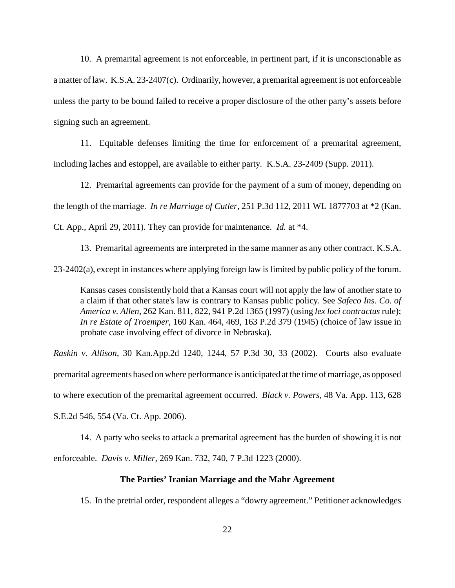10. A premarital agreement is not enforceable, in pertinent part, if it is unconscionable as a matter of law. K.S.A. 23-2407(c). Ordinarily, however, a premarital agreement is not enforceable unless the party to be bound failed to receive a proper disclosure of the other party's assets before signing such an agreement.

11. Equitable defenses limiting the time for enforcement of a premarital agreement, including laches and estoppel, are available to either party. K.S.A. 23-2409 (Supp. 2011).

12. Premarital agreements can provide for the payment of a sum of money, depending on the length of the marriage. *In re Marriage of Cutler*, 251 P.3d 112, 2011 WL 1877703 at \*2 (Kan. Ct. App., April 29, 2011). They can provide for maintenance. *Id.* at \*4.

13. Premarital agreements are interpreted in the same manner as any other contract. K.S.A. 23-2402(a), except in instances where applying foreign law is limited by public policy of the forum.

Kansas cases consistently hold that a Kansas court will not apply the law of another state to a claim if that other state's law is contrary to Kansas public policy. See *Safeco Ins. Co. of America v. Allen,* 262 Kan. 811, 822, 941 P.2d 1365 (1997) (using *lex loci contractus* rule); *In re Estate of Troemper,* 160 Kan. 464, 469, 163 P.2d 379 (1945) (choice of law issue in probate case involving effect of divorce in Nebraska).

*Raskin v. Allison*, 30 Kan.App.2d 1240, 1244, 57 P.3d 30, 33 (2002). Courts also evaluate premarital agreements based on where performance is anticipated at the time of marriage, as opposed to where execution of the premarital agreement occurred. *Black v. Powers*, 48 Va. App. 113, 628 S.E.2d 546, 554 (Va. Ct. App. 2006).

14. A party who seeks to attack a premarital agreement has the burden of showing it is not enforceable. *Davis v. Miller*, 269 Kan. 732, 740, 7 P.3d 1223 (2000).

## **The Parties' Iranian Marriage and the Mahr Agreement**

15. In the pretrial order, respondent alleges a "dowry agreement." Petitioner acknowledges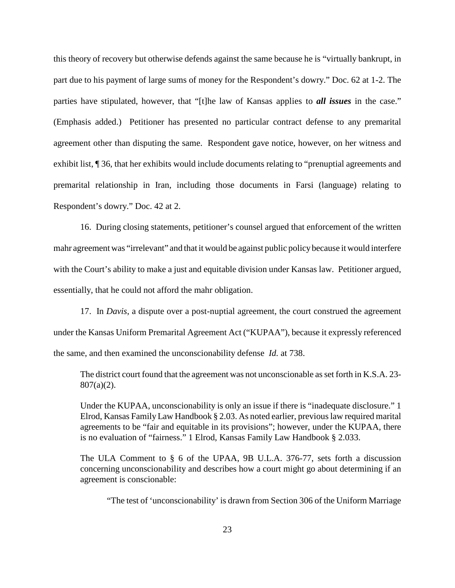this theory of recovery but otherwise defends against the same because he is "virtually bankrupt, in part due to his payment of large sums of money for the Respondent's dowry." Doc. 62 at 1-2. The parties have stipulated, however, that "[t]he law of Kansas applies to *all issues* in the case." (Emphasis added.) Petitioner has presented no particular contract defense to any premarital agreement other than disputing the same. Respondent gave notice, however, on her witness and exhibit list, ¶ 36, that her exhibits would include documents relating to "prenuptial agreements and premarital relationship in Iran, including those documents in Farsi (language) relating to Respondent's dowry." Doc. 42 at 2.

16. During closing statements, petitioner's counsel argued that enforcement of the written mahr agreement was "irrelevant" and that it would be against public policy because it would interfere with the Court's ability to make a just and equitable division under Kansas law. Petitioner argued, essentially, that he could not afford the mahr obligation.

17. In *Davis*, a dispute over a post-nuptial agreement, the court construed the agreement under the Kansas Uniform Premarital Agreement Act ("KUPAA"), because it expressly referenced the same, and then examined the unconscionability defense *Id.* at 738.

The district court found that the agreement was not unconscionable as set forth in K.S.A. 23- 807(a)(2).

Under the KUPAA, unconscionability is only an issue if there is "inadequate disclosure." 1 Elrod, Kansas Family Law Handbook § 2.03. As noted earlier, previous law required marital agreements to be "fair and equitable in its provisions"; however, under the KUPAA, there is no evaluation of "fairness." 1 Elrod, Kansas Family Law Handbook § 2.033.

The ULA Comment to § 6 of the UPAA, 9B U.L.A. 376-77, sets forth a discussion concerning unconscionability and describes how a court might go about determining if an agreement is conscionable:

"The test of 'unconscionability' is drawn from Section 306 of the Uniform Marriage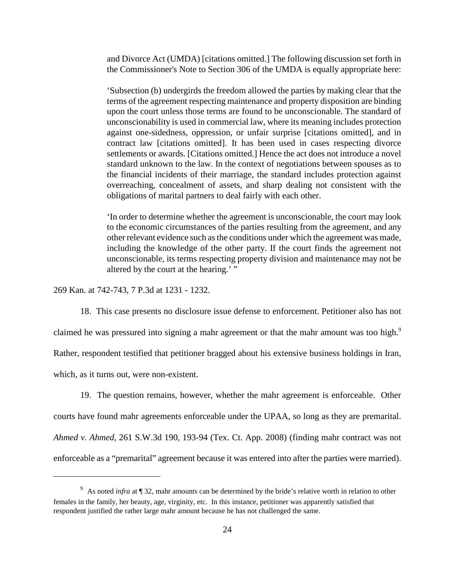and Divorce Act (UMDA) [citations omitted.] The following discussion set forth in the Commissioner's Note to Section 306 of the UMDA is equally appropriate here:

'Subsection (b) undergirds the freedom allowed the parties by making clear that the terms of the agreement respecting maintenance and property disposition are binding upon the court unless those terms are found to be unconscionable. The standard of unconscionability is used in commercial law, where its meaning includes protection against one-sidedness, oppression, or unfair surprise [citations omitted], and in contract law [citations omitted]. It has been used in cases respecting divorce settlements or awards. [Citations omitted.] Hence the act does not introduce a novel standard unknown to the law. In the context of negotiations between spouses as to the financial incidents of their marriage, the standard includes protection against overreaching, concealment of assets, and sharp dealing not consistent with the obligations of marital partners to deal fairly with each other.

'In order to determine whether the agreement is unconscionable, the court may look to the economic circumstances of the parties resulting from the agreement, and any other relevant evidence such as the conditions under which the agreement was made, including the knowledge of the other party. If the court finds the agreement not unconscionable, its terms respecting property division and maintenance may not be altered by the court at the hearing.' "

269 Kan. at 742-743, 7 P.3d at 1231 - 1232.

18. This case presents no disclosure issue defense to enforcement. Petitioner also has not claimed he was pressured into signing a mahr agreement or that the mahr amount was too high.<sup>9</sup> Rather, respondent testified that petitioner bragged about his extensive business holdings in Iran, which, as it turns out, were non-existent.

19. The question remains, however, whether the mahr agreement is enforceable. Other courts have found mahr agreements enforceable under the UPAA, so long as they are premarital. *Ahmed v. Ahmed*, 261 S.W.3d 190, 193-94 (Tex. Ct. App. 2008) (finding mahr contract was not enforceable as a "premarital" agreement because it was entered into after the parties were married).

<sup>&</sup>lt;sup>9</sup> As noted *infra* at ¶ 32, mahr amounts can be determined by the bride's relative worth in relation to other females in the family, her beauty, age, virginity, etc. In this instance, petitioner was apparently satisfied that respondent justified the rather large mahr amount because he has not challenged the same.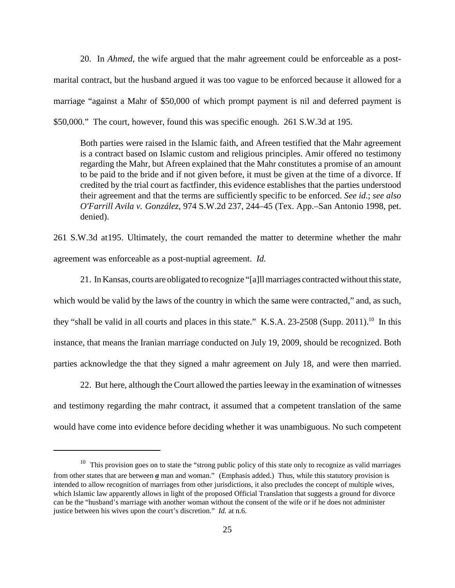20. In *Ahmed*, the wife argued that the mahr agreement could be enforceable as a postmarital contract, but the husband argued it was too vague to be enforced because it allowed for a marriage "against a Mahr of \$50,000 of which prompt payment is nil and deferred payment is \$50,000." The court, however, found this was specific enough. 261 S.W.3d at 195.

Both parties were raised in the Islamic faith, and Afreen testified that the Mahr agreement is a contract based on Islamic custom and religious principles. Amir offered no testimony regarding the Mahr, but Afreen explained that the Mahr constitutes a promise of an amount to be paid to the bride and if not given before, it must be given at the time of a divorce. If credited by the trial court as factfinder, this evidence establishes that the parties understood their agreement and that the terms are sufficiently specific to be enforced. *See id.*; *see also O'Farrill Avila v. González,* 974 S.W.2d 237, 244–45 (Tex. App.–San Antonio 1998, pet. denied).

261 S.W.3d at195. Ultimately, the court remanded the matter to determine whether the mahr agreement was enforceable as a post-nuptial agreement. *Id.*

21. In Kansas, courts are obligated to recognize "[a]ll marriages contracted without this state, which would be valid by the laws of the country in which the same were contracted," and, as such, they "shall be valid in all courts and places in this state." K.S.A. 23-2508 (Supp. 2011).<sup>10</sup> In this instance, that means the Iranian marriage conducted on July 19, 2009, should be recognized. Both parties acknowledge the that they signed a mahr agreement on July 18, and were then married.

22. But here, although the Court allowed the parties leeway in the examination of witnesses and testimony regarding the mahr contract, it assumed that a competent translation of the same would have come into evidence before deciding whether it was unambiguous. No such competent

<sup>&</sup>lt;sup>10</sup> This provision goes on to state the "strong public policy of this state only to recognize as valid marriages from other states that are between *a* man and woman." (Emphasis added.) Thus, while this statutory provision is intended to allow recognition of marriages from other jurisdictions, it also precludes the concept of multiple wives, which Islamic law apparently allows in light of the proposed Official Translation that suggests a ground for divorce can be the "husband's marriage with another woman without the consent of the wife or if he does not administer justice between his wives upon the court's discretion." *Id.* at n.6.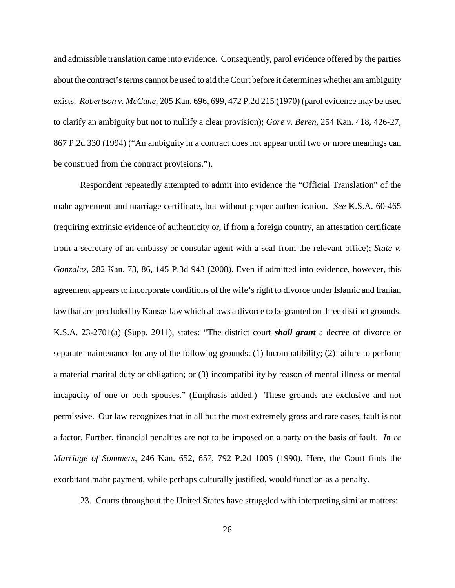and admissible translation came into evidence. Consequently, parol evidence offered by the parties about the contract's terms cannot be used to aid the Court before it determines whether am ambiguity exists. *Robertson v. McCune*, 205 Kan. 696, 699, 472 P.2d 215 (1970) (parol evidence may be used to clarify an ambiguity but not to nullify a clear provision); *Gore v. Beren,* 254 Kan. 418, 426-27, 867 P.2d 330 (1994) ("An ambiguity in a contract does not appear until two or more meanings can be construed from the contract provisions.").

Respondent repeatedly attempted to admit into evidence the "Official Translation" of the mahr agreement and marriage certificate, but without proper authentication. *See* K.S.A. 60-465 (requiring extrinsic evidence of authenticity or, if from a foreign country, an attestation certificate from a secretary of an embassy or consular agent with a seal from the relevant office); *State v. Gonzalez*, 282 Kan. 73, 86, 145 P.3d 943 (2008). Even if admitted into evidence, however, this agreement appears to incorporate conditions of the wife's right to divorce under Islamic and Iranian law that are precluded by Kansas law which allows a divorce to be granted on three distinct grounds. K.S.A. 23-2701(a) (Supp. 2011), states: "The district court *shall grant* a decree of divorce or separate maintenance for any of the following grounds: (1) Incompatibility; (2) failure to perform a material marital duty or obligation; or (3) incompatibility by reason of mental illness or mental incapacity of one or both spouses." (Emphasis added.) These grounds are exclusive and not permissive. Our law recognizes that in all but the most extremely gross and rare cases, fault is not a factor. Further, financial penalties are not to be imposed on a party on the basis of fault. *In re Marriage of Sommers*, 246 Kan. 652, 657, 792 P.2d 1005 (1990). Here, the Court finds the exorbitant mahr payment, while perhaps culturally justified, would function as a penalty.

23. Courts throughout the United States have struggled with interpreting similar matters: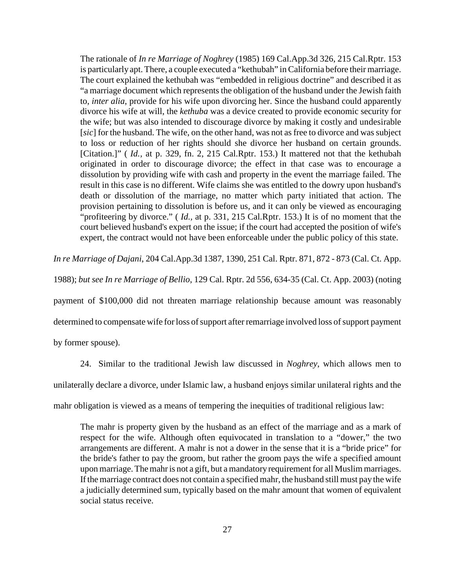The rationale of *In re Marriage of Noghrey* (1985) 169 Cal.App.3d 326, 215 Cal.Rptr. 153 is particularly apt. There, a couple executed a "kethubah" in California before their marriage. The court explained the kethubah was "embedded in religious doctrine" and described it as "a marriage document which represents the obligation of the husband under the Jewish faith to, *inter alia*, provide for his wife upon divorcing her. Since the husband could apparently divorce his wife at will, the *kethuba* was a device created to provide economic security for the wife; but was also intended to discourage divorce by making it costly and undesirable [*sic*] for the husband. The wife, on the other hand, was not as free to divorce and was subject to loss or reduction of her rights should she divorce her husband on certain grounds. [Citation.]" (*Id.*, at p. 329, fn. 2, 215 Cal.Rptr. 153.) It mattered not that the kethubah originated in order to discourage divorce; the effect in that case was to encourage a dissolution by providing wife with cash and property in the event the marriage failed. The result in this case is no different. Wife claims she was entitled to the dowry upon husband's death or dissolution of the marriage, no matter which party initiated that action. The provision pertaining to dissolution is before us, and it can only be viewed as encouraging "profiteering by divorce." ( *Id.,* at p. 331, 215 Cal.Rptr. 153.) It is of no moment that the court believed husband's expert on the issue; if the court had accepted the position of wife's expert, the contract would not have been enforceable under the public policy of this state.

*In re Marriage of Dajani*, 204 Cal.App.3d 1387, 1390, 251 Cal. Rptr. 871, 872 - 873 (Cal. Ct. App.

1988); *but see In re Marriage of Bellio*, 129 Cal. Rptr. 2d 556, 634-35 (Cal. Ct. App. 2003) (noting payment of \$100,000 did not threaten marriage relationship because amount was reasonably determined to compensate wife for loss of support after remarriage involved loss of support payment

by former spouse).

24. Similar to the traditional Jewish law discussed in *Noghrey*, which allows men to unilaterally declare a divorce, under Islamic law, a husband enjoys similar unilateral rights and the mahr obligation is viewed as a means of tempering the inequities of traditional religious law:

The mahr is property given by the husband as an effect of the marriage and as a mark of respect for the wife. Although often equivocated in translation to a "dower," the two arrangements are different. A mahr is not a dower in the sense that it is a "bride price" for the bride's father to pay the groom, but rather the groom pays the wife a specified amount upon marriage. The mahr is not a gift, but a mandatory requirement for all Muslim marriages. If the marriage contract does not contain a specified mahr, the husband still must pay the wife a judicially determined sum, typically based on the mahr amount that women of equivalent social status receive.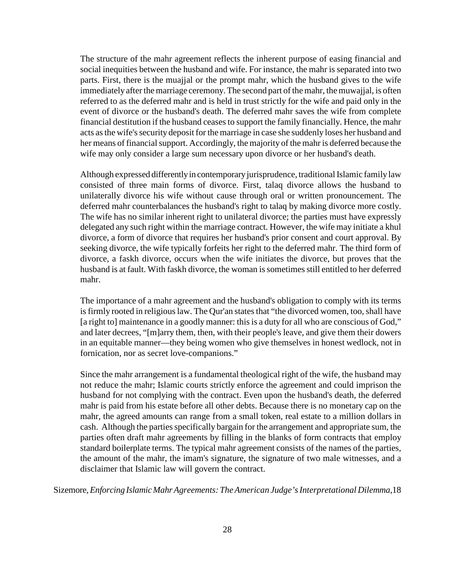The structure of the mahr agreement reflects the inherent purpose of easing financial and social inequities between the husband and wife. For instance, the mahr is separated into two parts. First, there is the muajjal or the prompt mahr, which the husband gives to the wife immediately after the marriage ceremony. The second part of the mahr, the muwajjal, is often referred to as the deferred mahr and is held in trust strictly for the wife and paid only in the event of divorce or the husband's death. The deferred mahr saves the wife from complete financial destitution if the husband ceases to support the family financially. Hence, the mahr acts as the wife's security deposit for the marriage in case she suddenly loses her husband and her means of financial support. Accordingly, the majority of the mahr is deferred because the wife may only consider a large sum necessary upon divorce or her husband's death.

Although expressed differently in contemporary jurisprudence, traditional Islamic family law consisted of three main forms of divorce. First, talaq divorce allows the husband to unilaterally divorce his wife without cause through oral or written pronouncement. The deferred mahr counterbalances the husband's right to talaq by making divorce more costly. The wife has no similar inherent right to unilateral divorce; the parties must have expressly delegated any such right within the marriage contract. However, the wife may initiate a khul divorce, a form of divorce that requires her husband's prior consent and court approval. By seeking divorce, the wife typically forfeits her right to the deferred mahr. The third form of divorce, a faskh divorce, occurs when the wife initiates the divorce, but proves that the husband is at fault. With faskh divorce, the woman is sometimes still entitled to her deferred mahr.

The importance of a mahr agreement and the husband's obligation to comply with its terms is firmly rooted in religious law. The Qur'an states that "the divorced women, too, shall have [a right to] maintenance in a goodly manner: this is a duty for all who are conscious of God," and later decrees, "[m]arry them, then, with their people's leave, and give them their dowers in an equitable manner—they being women who give themselves in honest wedlock, not in fornication, nor as secret love-companions."

Since the mahr arrangement is a fundamental theological right of the wife, the husband may not reduce the mahr; Islamic courts strictly enforce the agreement and could imprison the husband for not complying with the contract. Even upon the husband's death, the deferred mahr is paid from his estate before all other debts. Because there is no monetary cap on the mahr, the agreed amounts can range from a small token, real estate to a million dollars in cash. Although the parties specifically bargain for the arrangement and appropriate sum, the parties often draft mahr agreements by filling in the blanks of form contracts that employ standard boilerplate terms. The typical mahr agreement consists of the names of the parties, the amount of the mahr, the imam's signature, the signature of two male witnesses, and a disclaimer that Islamic law will govern the contract.

Sizemore, *Enforcing Islamic Mahr Agreements: The American Judge's Interpretational Dilemma*,18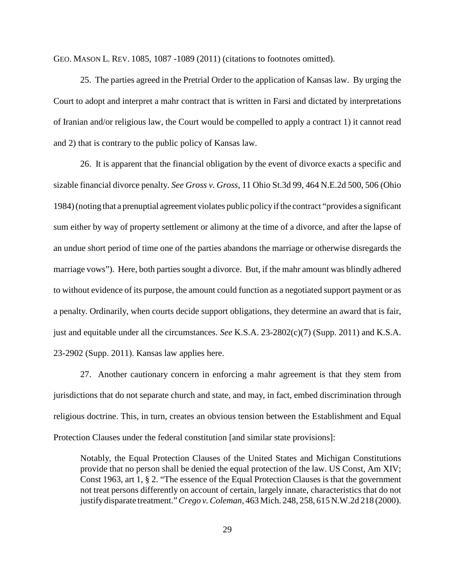GEO. MASON L. REV. 1085, 1087 -1089 (2011) (citations to footnotes omitted).

25. The parties agreed in the Pretrial Order to the application of Kansas law. By urging the Court to adopt and interpret a mahr contract that is written in Farsi and dictated by interpretations of Iranian and/or religious law, the Court would be compelled to apply a contract 1) it cannot read and 2) that is contrary to the public policy of Kansas law.

26. It is apparent that the financial obligation by the event of divorce exacts a specific and sizable financial divorce penalty. *See Gross v. Gross,* 11 Ohio St.3d 99, 464 N.E.2d 500, 506 (Ohio 1984) (noting that a prenuptial agreement violates public policy if the contract "provides a significant sum either by way of property settlement or alimony at the time of a divorce, and after the lapse of an undue short period of time one of the parties abandons the marriage or otherwise disregards the marriage vows"). Here, both parties sought a divorce. But, if the mahr amount was blindly adhered to without evidence of its purpose, the amount could function as a negotiated support payment or as a penalty. Ordinarily, when courts decide support obligations, they determine an award that is fair, just and equitable under all the circumstances. *See* K.S.A. 23-2802(c)(7) (Supp. 2011) and K.S.A. 23-2902 (Supp. 2011). Kansas law applies here.

27. Another cautionary concern in enforcing a mahr agreement is that they stem from jurisdictions that do not separate church and state, and may, in fact, embed discrimination through religious doctrine. This, in turn, creates an obvious tension between the Establishment and Equal Protection Clauses under the federal constitution [and similar state provisions]:

Notably, the Equal Protection Clauses of the United States and Michigan Constitutions provide that no person shall be denied the equal protection of the law. US Const, Am XIV; Const 1963, art 1, § 2. "The essence of the Equal Protection Clauses is that the government not treat persons differently on account of certain, largely innate, characteristics that do not justify disparate treatment." *Crego v. Coleman,* 463 Mich. 248, 258, 615 N.W.2d 218 (2000).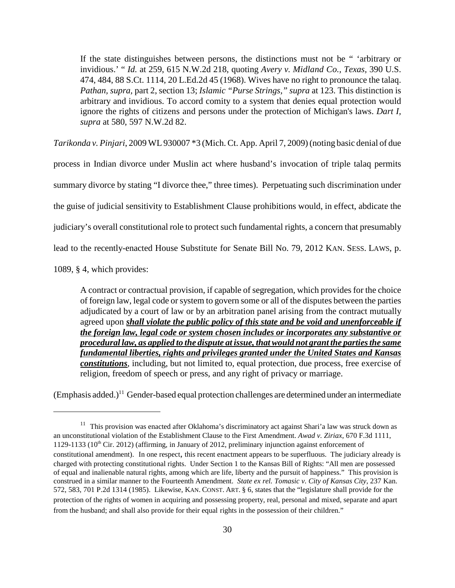If the state distinguishes between persons, the distinctions must not be " 'arbitrary or invidious.' " *Id.* at 259, 615 N.W.2d 218, quoting *Avery v. Midland Co., Texas,* 390 U.S. 474, 484, 88 S.Ct. 1114, 20 L.Ed.2d 45 (1968). Wives have no right to pronounce the talaq. *Pathan, supra,* part 2, section 13; *Islamic "Purse Strings," supra* at 123. This distinction is arbitrary and invidious. To accord comity to a system that denies equal protection would ignore the rights of citizens and persons under the protection of Michigan's laws. *Dart I, supra* at 580, 597 N.W.2d 82.

*Tarikonda v. Pinjari*, 2009 WL 930007 \*3 (Mich. Ct. App. April 7, 2009) (noting basic denial of due

process in Indian divorce under Muslin act where husband's invocation of triple talaq permits summary divorce by stating "I divorce thee," three times). Perpetuating such discrimination under the guise of judicial sensitivity to Establishment Clause prohibitions would, in effect, abdicate the judiciary's overall constitutional role to protect such fundamental rights, a concern that presumably lead to the recently-enacted House Substitute for Senate Bill No. 79, 2012 KAN. SESS. LAWS, p.

1089, § 4, which provides:

A contract or contractual provision, if capable of segregation, which provides for the choice of foreign law, legal code or system to govern some or all of the disputes between the parties adjudicated by a court of law or by an arbitration panel arising from the contract mutually agreed upon *shall violate the public policy of this state and be void and unenforceable if the foreign law, legal code or system chosen includes or incorporates any substantive or procedural law, as applied to the dispute at issue, that would not grant the parties the same fundamental liberties, rights and privileges granted under the United States and Kansas constitutions*, including, but not limited to, equal protection, due process, free exercise of religion, freedom of speech or press, and any right of privacy or marriage.

(Emphasis added.)<sup>11</sup> Gender-based equal protection challenges are determined under an intermediate

<sup>&</sup>lt;sup>11</sup> This provision was enacted after Oklahoma's discriminatory act against Shari'a law was struck down as an unconstitutional violation of the Establishment Clause to the First Amendment. *Awad v. Ziriax*, 670 F.3d 1111, 1129-1133 (10<sup>th</sup> Cir. 2012) (affirming, in January of 2012, preliminary injunction against enforcement of constitutional amendment). In one respect, this recent enactment appears to be superfluous. The judiciary already is charged with protecting constitutional rights. Under Section 1 to the Kansas Bill of Rights: "All men are possessed of equal and inalienable natural rights, among which are life, liberty and the pursuit of happiness." This provision is construed in a similar manner to the Fourteenth Amendment. *State ex rel. Tomasic v. City of Kansas City*, 237 Kan. 572, 583, 701 P.2d 1314 (1985). Likewise, KAN. CONST. ART. § 6, states that the "legislature shall provide for the protection of the rights of women in acquiring and possessing property, real, personal and mixed, separate and apart from the husband; and shall also provide for their equal rights in the possession of their children."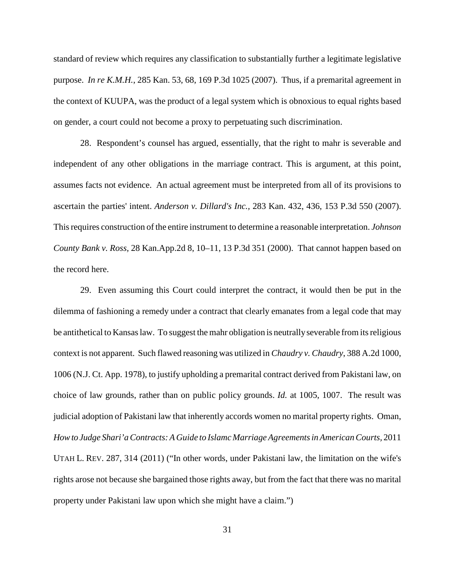standard of review which requires any classification to substantially further a legitimate legislative purpose. *In re K.M.H.*, 285 Kan. 53, 68, 169 P.3d 1025 (2007). Thus, if a premarital agreement in the context of KUUPA, was the product of a legal system which is obnoxious to equal rights based on gender, a court could not become a proxy to perpetuating such discrimination.

28. Respondent's counsel has argued, essentially, that the right to mahr is severable and independent of any other obligations in the marriage contract. This is argument, at this point, assumes facts not evidence. An actual agreement must be interpreted from all of its provisions to ascertain the parties' intent. *Anderson v. Dillard's Inc.,* 283 Kan. 432, 436, 153 P.3d 550 (2007). This requires construction of the entire instrument to determine a reasonable interpretation. *Johnson County Bank v. Ross,* 28 Kan.App.2d 8, 10–11, 13 P.3d 351 (2000). That cannot happen based on the record here.

29. Even assuming this Court could interpret the contract, it would then be put in the dilemma of fashioning a remedy under a contract that clearly emanates from a legal code that may be antithetical to Kansas law. To suggest the mahr obligation is neutrally severable from its religious context is not apparent. Such flawed reasoning was utilized in *Chaudry v. Chaudry*, 388 A.2d 1000, 1006 (N.J. Ct. App. 1978), to justify upholding a premarital contract derived from Pakistani law, on choice of law grounds, rather than on public policy grounds. *Id.* at 1005, 1007. The result was judicial adoption of Pakistani law that inherently accords women no marital property rights. Oman, *How to Judge Shari'a Contracts: A Guide to Islamc Marriage Agreements in American Courts,* 2011 UTAH L. REV. 287, 314 (2011) ("In other words, under Pakistani law, the limitation on the wife's rights arose not because she bargained those rights away, but from the fact that there was no marital property under Pakistani law upon which she might have a claim.")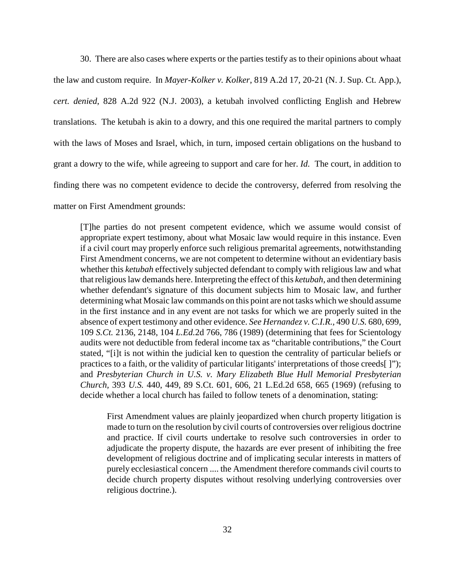30. There are also cases where experts or the parties testify as to their opinions about whaat the law and custom require. In *Mayer-Kolker v. Kolker*, 819 A.2d 17, 20-21 (N. J. Sup. Ct. App.), *cert. denied*, 828 A.2d 922 (N.J. 2003), a ketubah involved conflicting English and Hebrew translations. The ketubah is akin to a dowry, and this one required the marital partners to comply with the laws of Moses and Israel, which, in turn, imposed certain obligations on the husband to grant a dowry to the wife, while agreeing to support and care for her. *Id.* The court, in addition to finding there was no competent evidence to decide the controversy, deferred from resolving the matter on First Amendment grounds:

[T]he parties do not present competent evidence, which we assume would consist of appropriate expert testimony, about what Mosaic law would require in this instance. Even if a civil court may properly enforce such religious premarital agreements, notwithstanding First Amendment concerns, we are not competent to determine without an evidentiary basis whether this *ketubah* effectively subjected defendant to comply with religious law and what that religious law demands here. Interpreting the effect of this *ketubah,* and then determining whether defendant's signature of this document subjects him to Mosaic law, and further determining what Mosaic law commands on this point are not tasks which we should assume in the first instance and in any event are not tasks for which we are properly suited in the absence of expert testimony and other evidence. *See Hernandez v. C.I.R.,* 490 *U.S.* 680, 699, 109 *S.Ct.* 2136, 2148, 104 *L.Ed.*2d 766, 786 (1989) (determining that fees for Scientology audits were not deductible from federal income tax as "charitable contributions," the Court stated, "[i]t is not within the judicial ken to question the centrality of particular beliefs or practices to a faith, or the validity of particular litigants' interpretations of those creeds[ ]"); and *Presbyterian Church in U.S. v. Mary Elizabeth Blue Hull Memorial Presbyterian Church,* 393 *U.S.* 440, 449, 89 S.Ct. 601, 606, 21 L.Ed.2d 658, 665 (1969) (refusing to decide whether a local church has failed to follow tenets of a denomination, stating:

First Amendment values are plainly jeopardized when church property litigation is made to turn on the resolution by civil courts of controversies over religious doctrine and practice. If civil courts undertake to resolve such controversies in order to adjudicate the property dispute, the hazards are ever present of inhibiting the free development of religious doctrine and of implicating secular interests in matters of purely ecclesiastical concern .... the Amendment therefore commands civil courts to decide church property disputes without resolving underlying controversies over religious doctrine.).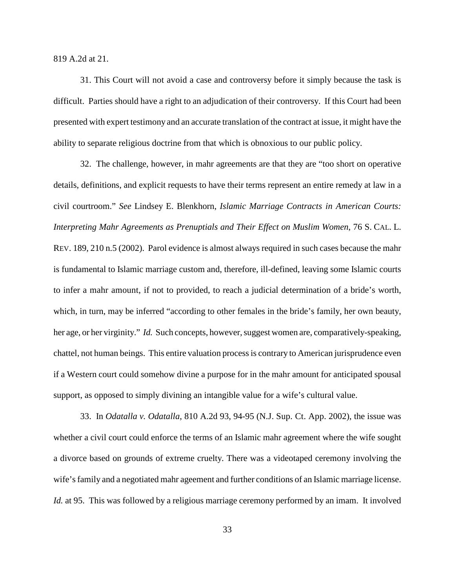819 A.2d at 21.

31. This Court will not avoid a case and controversy before it simply because the task is difficult. Parties should have a right to an adjudication of their controversy. If this Court had been presented with expert testimony and an accurate translation of the contract at issue, it might have the ability to separate religious doctrine from that which is obnoxious to our public policy.

32. The challenge, however, in mahr agreements are that they are "too short on operative details, definitions, and explicit requests to have their terms represent an entire remedy at law in a civil courtroom." *See* Lindsey E. Blenkhorn, *Islamic Marriage Contracts in American Courts: Interpreting Mahr Agreements as Prenuptials and Their Effect on Muslim Women*, 76 S. CAL. L. REV. 189, 210 n.5 (2002). Parol evidence is almost always required in such cases because the mahr is fundamental to Islamic marriage custom and, therefore, ill-defined, leaving some Islamic courts to infer a mahr amount, if not to provided, to reach a judicial determination of a bride's worth, which, in turn, may be inferred "according to other females in the bride's family, her own beauty, her age, or her virginity." *Id.* Such concepts, however, suggest women are, comparatively-speaking, chattel, not human beings. This entire valuation process is contrary to American jurisprudence even if a Western court could somehow divine a purpose for in the mahr amount for anticipated spousal support, as opposed to simply divining an intangible value for a wife's cultural value.

33. In *Odatalla v. Odatalla*, 810 A.2d 93, 94-95 (N.J. Sup. Ct. App. 2002), the issue was whether a civil court could enforce the terms of an Islamic mahr agreement where the wife sought a divorce based on grounds of extreme cruelty. There was a videotaped ceremony involving the wife's family and a negotiated mahr ageement and further conditions of an Islamic marriage license. *Id.* at 95. This was followed by a religious marriage ceremony performed by an imam. It involved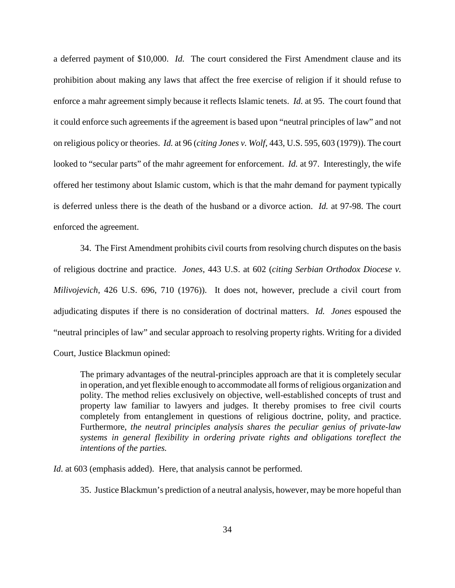a deferred payment of \$10,000. *Id.* The court considered the First Amendment clause and its prohibition about making any laws that affect the free exercise of religion if it should refuse to enforce a mahr agreement simply because it reflects Islamic tenets. *Id.* at 95. The court found that it could enforce such agreements if the agreement is based upon "neutral principles of law" and not on religious policy or theories. *Id.* at 96 (*citing Jones v. Wolf*, 443, U.S. 595, 603 (1979)). The court looked to "secular parts" of the mahr agreement for enforcement. *Id.* at 97. Interestingly, the wife offered her testimony about Islamic custom, which is that the mahr demand for payment typically is deferred unless there is the death of the husband or a divorce action. *Id.* at 97-98. The court enforced the agreement.

34. The First Amendment prohibits civil courts from resolving church disputes on the basis of religious doctrine and practice. *Jones*, 443 U.S. at 602 (*citing Serbian Orthodox Diocese v. Milivojevich*, 426 U.S. 696, 710 (1976)). It does not, however, preclude a civil court from adjudicating disputes if there is no consideration of doctrinal matters. *Id. Jones* espoused the "neutral principles of law" and secular approach to resolving property rights. Writing for a divided Court, Justice Blackmun opined:

The primary advantages of the neutral-principles approach are that it is completely secular in operation, and yet flexible enough to accommodate all forms of religious organization and polity. The method relies exclusively on objective, well-established concepts of trust and property law familiar to lawyers and judges. It thereby promises to free civil courts completely from entanglement in questions of religious doctrine, polity, and practice. Furthermore, *the neutral principles analysis shares the peculiar genius of private-law systems in general flexibility in ordering private rights and obligations toreflect the intentions of the parties.*

*Id.* at 603 (emphasis added). Here, that analysis cannot be performed.

35. Justice Blackmun's prediction of a neutral analysis, however, may be more hopeful than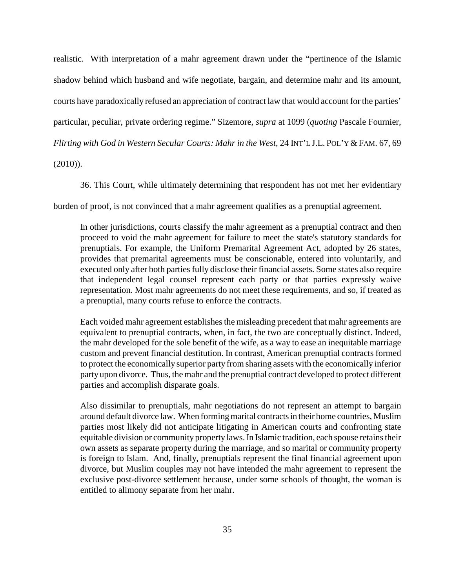realistic. With interpretation of a mahr agreement drawn under the "pertinence of the Islamic shadow behind which husband and wife negotiate, bargain, and determine mahr and its amount, courts have paradoxically refused an appreciation of contract law that would account for the parties' particular, peculiar, private ordering regime." Sizemore, *supra* at 1099 (*quoting* Pascale Fournier, *Flirting with God in Western Secular Courts: Mahr in the West*, 24 INT'L J.L. POL'Y & FAM. 67, 69

 $(2010)$ ).

36. This Court, while ultimately determining that respondent has not met her evidentiary

burden of proof, is not convinced that a mahr agreement qualifies as a prenuptial agreement.

In other jurisdictions, courts classify the mahr agreement as a prenuptial contract and then proceed to void the mahr agreement for failure to meet the state's statutory standards for prenuptials. For example, the Uniform Premarital Agreement Act, adopted by 26 states, provides that premarital agreements must be conscionable, entered into voluntarily, and executed only after both parties fully disclose their financial assets. Some states also require that independent legal counsel represent each party or that parties expressly waive representation. Most mahr agreements do not meet these requirements, and so, if treated as a prenuptial, many courts refuse to enforce the contracts.

Each voided mahr agreement establishes the misleading precedent that mahr agreements are equivalent to prenuptial contracts, when, in fact, the two are conceptually distinct. Indeed, the mahr developed for the sole benefit of the wife, as a way to ease an inequitable marriage custom and prevent financial destitution. In contrast, American prenuptial contracts formed to protect the economically superior party from sharing assets with the economically inferior party upon divorce. Thus, the mahr and the prenuptial contract developed to protect different parties and accomplish disparate goals.

Also dissimilar to prenuptials, mahr negotiations do not represent an attempt to bargain around default divorce law. When forming marital contracts in their home countries, Muslim parties most likely did not anticipate litigating in American courts and confronting state equitable division or community property laws. In Islamic tradition, each spouse retains their own assets as separate property during the marriage, and so marital or community property is foreign to Islam. And, finally, prenuptials represent the final financial agreement upon divorce, but Muslim couples may not have intended the mahr agreement to represent the exclusive post-divorce settlement because, under some schools of thought, the woman is entitled to alimony separate from her mahr.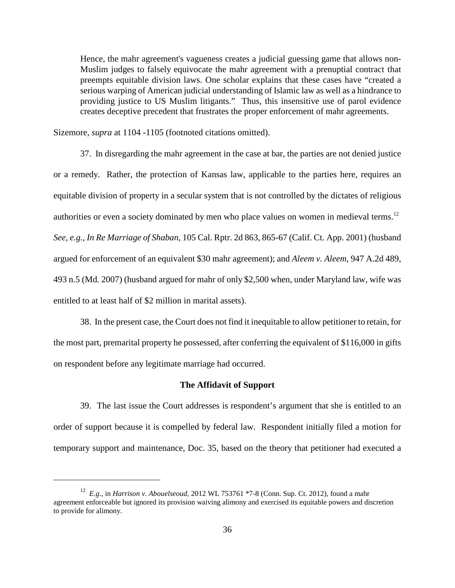Hence, the mahr agreement's vagueness creates a judicial guessing game that allows non-Muslim judges to falsely equivocate the mahr agreement with a prenuptial contract that preempts equitable division laws. One scholar explains that these cases have "created a serious warping of American judicial understanding of Islamic law as well as a hindrance to providing justice to US Muslim litigants." Thus, this insensitive use of parol evidence creates deceptive precedent that frustrates the proper enforcement of mahr agreements.

Sizemore, *supra* at 1104 -1105 (footnoted citations omitted).

37. In disregarding the mahr agreement in the case at bar, the parties are not denied justice or a remedy. Rather, the protection of Kansas law, applicable to the parties here, requires an equitable division of property in a secular system that is not controlled by the dictates of religious authorities or even a society dominated by men who place values on women in medieval terms.<sup>12</sup> *See, e.g., In Re Marriage of Shaban*, 105 Cal. Rptr. 2d 863, 865-67 (Calif. Ct. App. 2001) (husband argued for enforcement of an equivalent \$30 mahr agreement); and *Aleem v. Aleem*, 947 A.2d 489, 493 n.5 (Md. 2007) (husband argued for mahr of only \$2,500 when, under Maryland law, wife was entitled to at least half of \$2 million in marital assets).

38. In the present case, the Court does not find it inequitable to allow petitioner to retain, for the most part, premarital property he possessed, after conferring the equivalent of \$116,000 in gifts on respondent before any legitimate marriage had occurred.

# **The Affidavit of Support**

39. The last issue the Court addresses is respondent's argument that she is entitled to an order of support because it is compelled by federal law. Respondent initially filed a motion for temporary support and maintenance, Doc. 35, based on the theory that petitioner had executed a

<sup>12</sup> *E.g*., in *Harrison v. Abouelseoud*, 2012 WL 753761 \*7-8 (Conn. Sup. Ct. 2012), found a mahr agreement enforceable but ignored its provision waiving alimony and exercised its equitable powers and discretion to provide for alimony.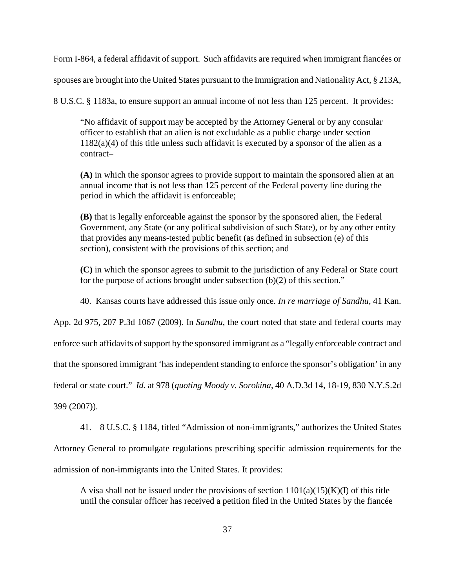Form I-864, a federal affidavit of support. Such affidavits are required when immigrant fiancées or

spouses are brought into the United States pursuant to the Immigration and Nationality Act, § 213A,

8 U.S.C. § 1183a, to ensure support an annual income of not less than 125 percent. It provides:

"No affidavit of support may be accepted by the Attorney General or by any consular officer to establish that an alien is not excludable as a public charge under section  $1182(a)(4)$  of this title unless such affidavit is executed by a sponsor of the alien as a contract–

**(A)** in which the sponsor agrees to provide support to maintain the sponsored alien at an annual income that is not less than 125 percent of the Federal poverty line during the period in which the affidavit is enforceable;

**(B)** that is legally enforceable against the sponsor by the sponsored alien, the Federal Government, any State (or any political subdivision of such State), or by any other entity that provides any means-tested public benefit (as defined in subsection (e) of this section), consistent with the provisions of this section; and

**(C)** in which the sponsor agrees to submit to the jurisdiction of any Federal or State court for the purpose of actions brought under subsection (b)(2) of this section."

40. Kansas courts have addressed this issue only once. *In re marriage of Sandhu*, 41 Kan.

App. 2d 975, 207 P.3d 1067 (2009). In *Sandhu*, the court noted that state and federal courts may

enforce such affidavits of support by the sponsored immigrant as a "legally enforceable contract and

that the sponsored immigrant 'has independent standing to enforce the sponsor's obligation' in any

federal or state court." *Id.* at 978 (*quoting Moody v. Sorokina*, 40 A.D.3d 14, 18-19, 830 N.Y.S.2d

399 (2007)).

41. 8 U.S.C. § 1184, titled "Admission of non-immigrants," authorizes the United States

Attorney General to promulgate regulations prescribing specific admission requirements for the admission of non-immigrants into the United States. It provides:

A visa shall not be issued under the provisions of section  $1101(a)(15)(K)(I)$  of this title until the consular officer has received a petition filed in the United States by the fiancée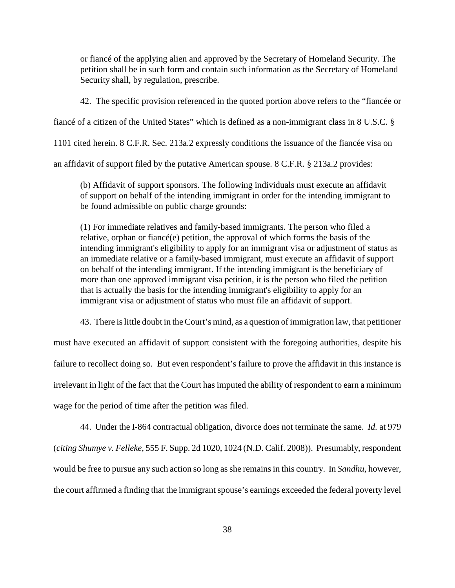or fiancé of the applying alien and approved by the Secretary of Homeland Security. The petition shall be in such form and contain such information as the Secretary of Homeland Security shall, by regulation, prescribe.

42. The specific provision referenced in the quoted portion above refers to the "fiancée or

fiancé of a citizen of the United States" which is defined as a non-immigrant class in 8 U.S.C. §

1101 cited herein. 8 C.F.R. Sec. 213a.2 expressly conditions the issuance of the fiancée visa on

an affidavit of support filed by the putative American spouse. 8 C.F.R. § 213a.2 provides:

(b) Affidavit of support sponsors. The following individuals must execute an affidavit of support on behalf of the intending immigrant in order for the intending immigrant to be found admissible on public charge grounds:

(1) For immediate relatives and family-based immigrants. The person who filed a relative, orphan or fiancé(e) petition, the approval of which forms the basis of the intending immigrant's eligibility to apply for an immigrant visa or adjustment of status as an immediate relative or a family-based immigrant, must execute an affidavit of support on behalf of the intending immigrant. If the intending immigrant is the beneficiary of more than one approved immigrant visa petition, it is the person who filed the petition that is actually the basis for the intending immigrant's eligibility to apply for an immigrant visa or adjustment of status who must file an affidavit of support.

43. There is little doubt in the Court's mind, as a question of immigration law, that petitioner

must have executed an affidavit of support consistent with the foregoing authorities, despite his failure to recollect doing so. But even respondent's failure to prove the affidavit in this instance is irrelevant in light of the fact that the Court has imputed the ability of respondent to earn a minimum wage for the period of time after the petition was filed.

44. Under the I-864 contractual obligation, divorce does not terminate the same. *Id.* at 979 (*citing Shumye v. Felleke*, 555 F. Supp. 2d 1020, 1024 (N.D. Calif. 2008)). Presumably, respondent would be free to pursue any such action so long as she remains in this country. In *Sandhu*, however, the court affirmed a finding that the immigrant spouse's earnings exceeded the federal poverty level